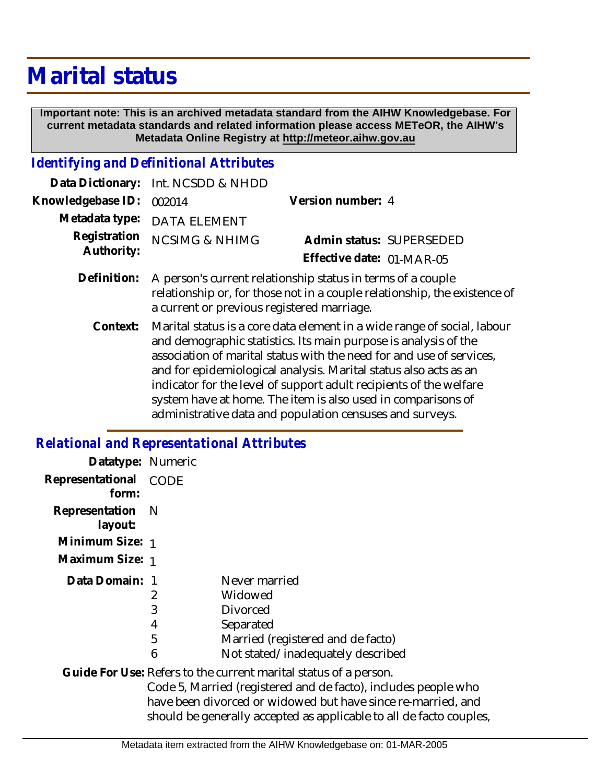# **Marital status**

 **Important note: This is an archived metadata standard from the AIHW Knowledgebase. For current metadata standards and related information please access METeOR, the AIHW's Metadata Online Registry at http://meteor.aihw.gov.au**

#### *Identifying and Definitional Attributes*

|                          | Data Dictionary: Int. NCSDD & NHDD                                        |                           |  |
|--------------------------|---------------------------------------------------------------------------|---------------------------|--|
| Knowledgebase ID: 002014 |                                                                           | Version number: 4         |  |
|                          | Metadata type: DATA ELEMENT                                               |                           |  |
|                          | Registration NCSIMG & NHIMG                                               | Admin status: SUPERSEDED  |  |
| Authority:               |                                                                           | Effective date: 01-MAR-05 |  |
|                          | $Definition: A person's current relationship status in terms of a couple$ |                           |  |

- n's current relationship status in terms of a couple relationship or, for those not in a couple relationship, the existence of a current or previous registered marriage. **Definition:**
	- Marital status is a core data element in a wide range of social, labour and demographic statistics. Its main purpose is analysis of the association of marital status with the need for and use of services, and for epidemiological analysis. Marital status also acts as an indicator for the level of support adult recipients of the welfare system have at home. The item is also used in comparisons of administrative data and population censuses and surveys. **Context:**

## *Relational and Representational Attributes*

| Datatype: Numeric         |      |                                                                  |
|---------------------------|------|------------------------------------------------------------------|
| Representational<br>form: | CODE |                                                                  |
| Representation<br>layout: | - N  |                                                                  |
| Minimum Size: 1           |      |                                                                  |
| Maximum Size: 1           |      |                                                                  |
| Data Domain: 1            |      | Never married                                                    |
|                           | 2    | Widowed                                                          |
|                           | 3    | <b>Divorced</b>                                                  |
|                           | 4    | Separated                                                        |
|                           | 5    | Married (registered and de facto)                                |
|                           | 6    | Not stated/inadequately described                                |
|                           |      | Guide For Use: Refers to the current marital status of a person. |
|                           |      | Code 5, Married (registered and de facto), includes people who   |
|                           |      | have been divorced or widowed but have since re-married, and     |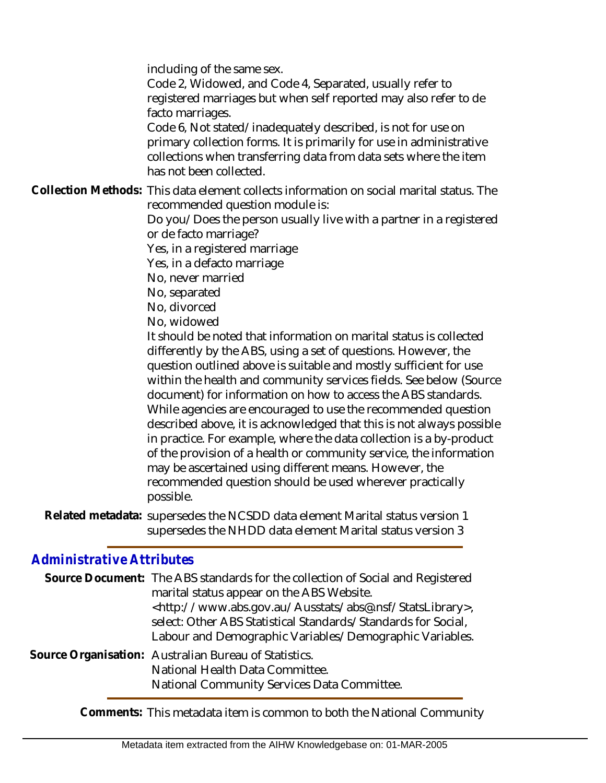including of the same sex.

Code 2, Widowed, and Code 4, Separated, usually refer to registered marriages but when self reported may also refer to de facto marriages.

Code 6, Not stated/inadequately described, is not for use on primary collection forms. It is primarily for use in administrative collections when transferring data from data sets where the item has not been collected.

Collection Methods: This data element collects information on social marital status. The recommended question module is:

Do you/Does the person usually live with a partner in a registered or de facto marriage?

Yes, in a registered marriage

Yes, in a defacto marriage

No, never married

No, separated

No, divorced

No, widowed

It should be noted that information on marital status is collected differently by the ABS, using a set of questions. However, the question outlined above is suitable and mostly sufficient for use within the health and community services fields. See below (Source document) for information on how to access the ABS standards. While agencies are encouraged to use the recommended question described above, it is acknowledged that this is not always possible in practice. For example, where the data collection is a by-product of the provision of a health or community service, the information may be ascertained using different means. However, the recommended question should be used wherever practically possible.

Related metadata: supersedes the NCSDD data element Marital status version 1 supersedes the NHDD data element Marital status version 3

# *Administrative Attributes*

| Source Document: The ABS standards for the collection of Social and Registered<br>marital status appear on the ABS Website.<br><http: abs@.nsf="" ausstats="" statslibrary="" www.abs.gov.au="">,<br/>select: Other ABS Statistical Standards/Standards for Social,<br/>Labour and Demographic Variables/Demographic Variables.</http:> |
|-----------------------------------------------------------------------------------------------------------------------------------------------------------------------------------------------------------------------------------------------------------------------------------------------------------------------------------------|
| Source Organisation: Australian Bureau of Statistics.<br>National Health Data Committee.<br>National Community Services Data Committee.                                                                                                                                                                                                 |

**Comments:** This metadata item is common to both the National Community